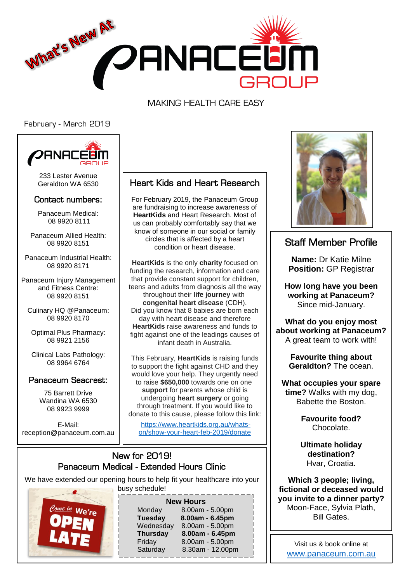

MAKING HEALTH CARE EASY

February - March 2019



233 Lester Avenue Geraldton WA 6530

### Contact numbers:

Panaceum Medical: 08 9920 8111

Panaceum Allied Health: 08 9920 8151

Panaceum Industrial Health: 08 9920 8171

Panaceum Injury Management and Fitness Centre: 08 9920 8151

Culinary HQ @Panaceum: 08 9920 8170

Optimal Plus Pharmacy: 08 9921 2156

Clinical Labs Pathology: 08 9964 6764

### Panaceum Seacrest:

75 Barrett Drive Wandina WA 6530 08 9923 9999

E-Mail: reception@panaceum.com.au

## Heart Kids and Heart Research

For February 2019, the Panaceum Group are fundraising to increase awareness of **HeartKids** and Heart Research. Most of us can probably comfortably say that we know of someone in our social or family circles that is affected by a heart condition or heart disease.

**HeartKids** is the only **charity** focused on funding the research, information and care that provide constant support for children, teens and adults from diagnosis all the way throughout their **life journey** with **congenital heart disease** (CDH). Did you know that 8 babies are born each day with heart disease and therefore **HeartKids** raise awareness and funds to fight against one of the leadings causes of infant death in Australia.

This February, **HeartKids** is raising funds to support the fight against CHD and they would love your help. They urgently need to raise **\$650,000** towards one on one **support** for parents whose child is undergoing **heart surgery** or going through treatment. If you would like to donate to this cause, please follow this link:

[https://www.heartkids.org.au/whats](https://www.heartkids.org.au/whats-on/show-your-heart-feb-2019/donate)[on/show-your-heart-feb-2019/donate](https://www.heartkids.org.au/whats-on/show-your-heart-feb-2019/donate)

### New for 2019! Panaceum Medical - Extended Hours Clinic

We have extended our opening hours to help fit your healthcare into your busy schedule!



| <b>New Hours</b> |                  |
|------------------|------------------|
| Monday           | 8.00am - 5.00pm  |
| <b>Tuesday</b>   | 8.00am - 6.45pm  |
| Wednesday        | 8.00am - 5.00pm  |
| <b>Thursday</b>  | 8.00am - 6.45pm  |
| Friday           | 8.00am - 5.00pm  |
| Saturday         | 8.30am - 12.00pm |
|                  |                  |



# Staff Member Profile

**Name:** Dr Katie Milne **Position: GP Registrar** 

**How long have you been working at Panaceum?** Since mid-January.

**What do you enjoy most about working at Panaceum?** A great team to work with!

> **Favourite thing about Geraldton?** The ocean.

**What occupies your spare time?** Walks with my dog, Babette the Boston.

> **Favourite food?** Chocolate.

**Ultimate holiday destination?** Hvar, Croatia.

**Which 3 people; living, fictional or deceased would you invite to a dinner party?** Moon-Face, Sylvia Plath, Bill Gates.

Visit us & book online at <www.panaceum.com.au>